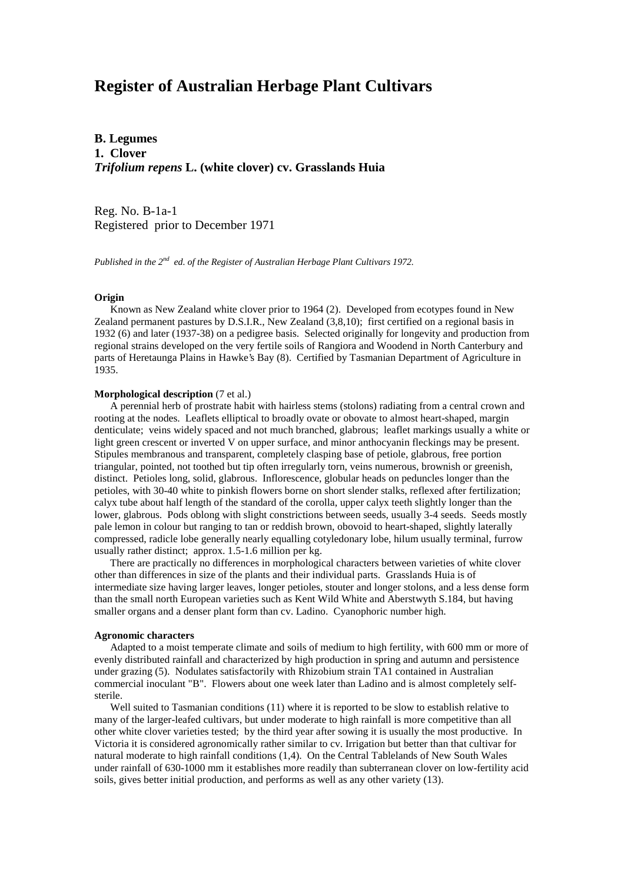# **Register of Australian Herbage Plant Cultivars**

**B. Legumes 1. Clover** *Trifolium repens* **L. (white clover) cv. Grasslands Huia**

Reg. No. B-1a-1 Registered prior to December 1971

*Published in the 2nd ed. of the Register of Australian Herbage Plant Cultivars 1972.*

# **Origin**

 Known as New Zealand white clover prior to 1964 (2). Developed from ecotypes found in New Zealand permanent pastures by D.S.I.R., New Zealand (3,8,10); first certified on a regional basis in 1932 (6) and later (1937-38) on a pedigree basis. Selected originally for longevity and production from regional strains developed on the very fertile soils of Rangiora and Woodend in North Canterbury and parts of Heretaunga Plains in Hawke's Bay (8). Certified by Tasmanian Department of Agriculture in 1935.

# **Morphological description** (7 et al.)

 A perennial herb of prostrate habit with hairless stems (stolons) radiating from a central crown and rooting at the nodes. Leaflets elliptical to broadly ovate or obovate to almost heart-shaped, margin denticulate; veins widely spaced and not much branched, glabrous; leaflet markings usually a white or light green crescent or inverted V on upper surface, and minor anthocyanin fleckings may be present. Stipules membranous and transparent, completely clasping base of petiole, glabrous, free portion triangular, pointed, not toothed but tip often irregularly torn, veins numerous, brownish or greenish, distinct. Petioles long, solid, glabrous. Inflorescence, globular heads on peduncles longer than the petioles, with 30-40 white to pinkish flowers borne on short slender stalks, reflexed after fertilization; calyx tube about half length of the standard of the corolla, upper calyx teeth slightly longer than the lower, glabrous. Pods oblong with slight constrictions between seeds, usually 3-4 seeds. Seeds mostly pale lemon in colour but ranging to tan or reddish brown, obovoid to heart-shaped, slightly laterally compressed, radicle lobe generally nearly equalling cotyledonary lobe, hilum usually terminal, furrow usually rather distinct; approx. 1.5-1.6 million per kg.

 There are practically no differences in morphological characters between varieties of white clover other than differences in size of the plants and their individual parts. Grasslands Huia is of intermediate size having larger leaves, longer petioles, stouter and longer stolons, and a less dense form than the small north European varieties such as Kent Wild White and Aberstwyth S.184, but having smaller organs and a denser plant form than cv. Ladino. Cyanophoric number high.

## **Agronomic characters**

 Adapted to a moist temperate climate and soils of medium to high fertility, with 600 mm or more of evenly distributed rainfall and characterized by high production in spring and autumn and persistence under grazing (5). Nodulates satisfactorily with Rhizobium strain TA1 contained in Australian commercial inoculant "B". Flowers about one week later than Ladino and is almost completely selfsterile.

 Well suited to Tasmanian conditions (11) where it is reported to be slow to establish relative to many of the larger-leafed cultivars, but under moderate to high rainfall is more competitive than all other white clover varieties tested; by the third year after sowing it is usually the most productive. In Victoria it is considered agronomically rather similar to cv. Irrigation but better than that cultivar for natural moderate to high rainfall conditions (1,4). On the Central Tablelands of New South Wales under rainfall of 630-1000 mm it establishes more readily than subterranean clover on low-fertility acid soils, gives better initial production, and performs as well as any other variety (13).